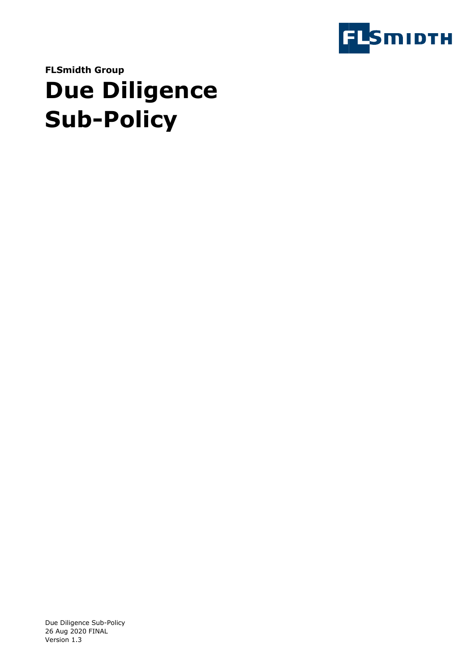

**FLSmidth Group**

# **Due Diligence Sub-Policy**

Due Diligence Sub-Policy 26 Aug 2020 FINAL Version 1.3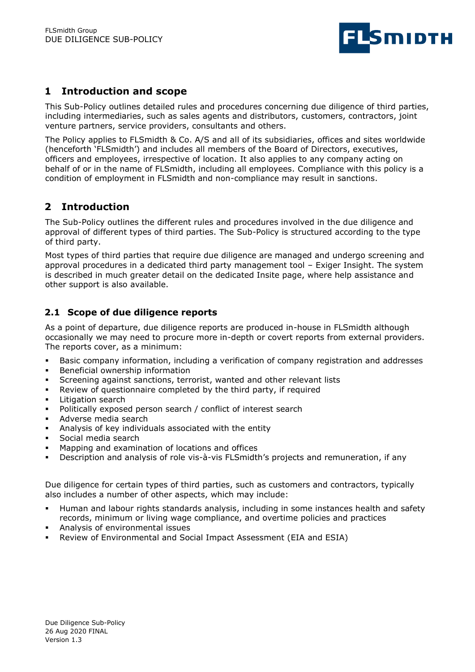

### **1 Introduction and scope**

This Sub-Policy outlines detailed rules and procedures concerning due diligence of third parties, including intermediaries, such as sales agents and distributors, customers, contractors, joint venture partners, service providers, consultants and others.

The Policy applies to FLSmidth & Co. A/S and all of its subsidiaries, offices and sites worldwide (henceforth 'FLSmidth') and includes all members of the Board of Directors, executives, officers and employees, irrespective of location. It also applies to any company acting on behalf of or in the name of FLSmidth, including all employees. Compliance with this policy is a condition of employment in FLSmidth and non-compliance may result in sanctions.

### **2 Introduction**

The Sub-Policy outlines the different rules and procedures involved in the due diligence and approval of different types of third parties. The Sub-Policy is structured according to the type of third party.

Most types of third parties that require due diligence are managed and undergo screening and approval procedures in a dedicated third party management tool – Exiger Insight. The system is described in much greater detail on the dedicated Insite page, where help assistance and other support is also available.

#### **2.1 Scope of due diligence reports**

As a point of departure, due diligence reports are produced in-house in FLSmidth although occasionally we may need to procure more in-depth or covert reports from external providers. The reports cover, as a minimum:

- Basic company information, including a verification of company registration and addresses
- **•** Beneficial ownership information
- **EXECTED Screening against sanctions, terrorist, wanted and other relevant lists**
- Review of questionnaire completed by the third party, if required
- Litigation search
- Politically exposed person search / conflict of interest search
- Adverse media search
- Analysis of key individuals associated with the entity
- Social media search
- Mapping and examination of locations and offices
- Description and analysis of role vis-à-vis FLSmidth's projects and remuneration, if any

Due diligence for certain types of third parties, such as customers and contractors, typically also includes a number of other aspects, which may include:

- Human and labour rights standards analysis, including in some instances health and safety records, minimum or living wage compliance, and overtime policies and practices
- Analysis of environmental issues
- Review of Environmental and Social Impact Assessment (EIA and ESIA)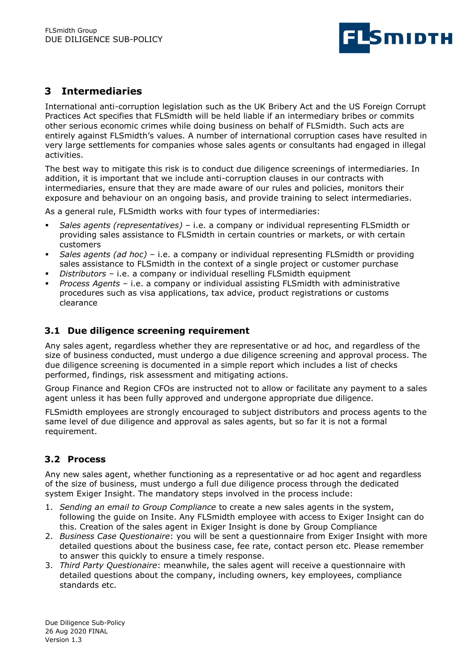

## **3 Intermediaries**

International anti-corruption legislation such as the UK Bribery Act and the US Foreign Corrupt Practices Act specifies that FLSmidth will be held liable if an intermediary bribes or commits other serious economic crimes while doing business on behalf of FLSmidth. Such acts are entirely against FLSmidth's values. A number of international corruption cases have resulted in very large settlements for companies whose sales agents or consultants had engaged in illegal activities.

The best way to mitigate this risk is to conduct due diligence screenings of intermediaries. In addition, it is important that we include anti-corruption clauses in our contracts with intermediaries, ensure that they are made aware of our rules and policies, monitors their exposure and behaviour on an ongoing basis, and provide training to select intermediaries.

As a general rule, FLSmidth works with four types of intermediaries:

- *Sales agents (representatives)* i.e. a company or individual representing FLSmidth or providing sales assistance to FLSmidth in certain countries or markets, or with certain customers
- *Sales agents (ad hoc)* i.e. a company or individual representing FLSmidth or providing sales assistance to FLSmidth in the context of a single project or customer purchase
- *Distributors* i.e. a company or individual reselling FLSmidth equipment
- *Process Agents* i.e. a company or individual assisting FLSmidth with administrative procedures such as visa applications, tax advice, product registrations or customs clearance

#### **3.1 Due diligence screening requirement**

Any sales agent, regardless whether they are representative or ad hoc, and regardless of the size of business conducted, must undergo a due diligence screening and approval process. The due diligence screening is documented in a simple report which includes a list of checks performed, findings, risk assessment and mitigating actions.

Group Finance and Region CFOs are instructed not to allow or facilitate any payment to a sales agent unless it has been fully approved and undergone appropriate due diligence.

FLSmidth employees are strongly encouraged to subject distributors and process agents to the same level of due diligence and approval as sales agents, but so far it is not a formal requirement.

#### **3.2 Process**

Any new sales agent, whether functioning as a representative or ad hoc agent and regardless of the size of business, must undergo a full due diligence process through the dedicated system Exiger Insight. The mandatory steps involved in the process include:

- 1. *Sending an email to Group Compliance* to create a new sales agents in the system, following the guide on Insite. Any FLSmidth employee with access to Exiger Insight can do this. Creation of the sales agent in Exiger Insight is done by Group Compliance
- 2. *Business Case Questionaire*: you will be sent a questionnaire from Exiger Insight with more detailed questions about the business case, fee rate, contact person etc. Please remember to answer this quickly to ensure a timely response.
- 3. *Third Party Questionaire*: meanwhile, the sales agent will receive a questionnaire with detailed questions about the company, including owners, key employees, compliance standards etc.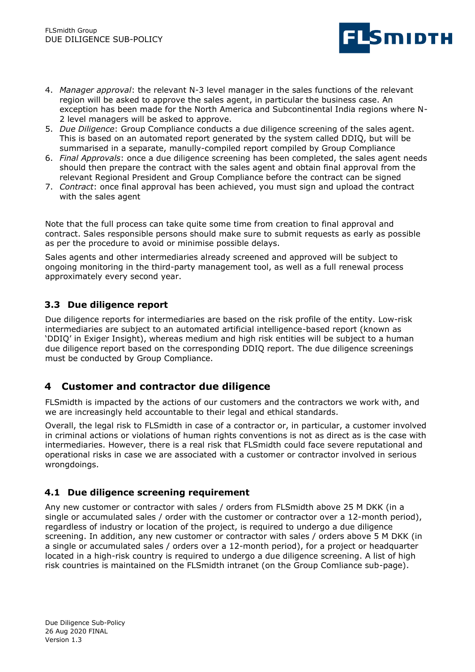

- 4. *Manager approval*: the relevant N-3 level manager in the sales functions of the relevant region will be asked to approve the sales agent, in particular the business case. An exception has been made for the North America and Subcontinental India regions where N-2 level managers will be asked to approve.
- 5. *Due Diligence*: Group Compliance conducts a due diligence screening of the sales agent. This is based on an automated report generated by the system called DDIQ, but will be summarised in a separate, manully-compiled report compiled by Group Compliance
- 6. *Final Approvals*: once a due diligence screening has been completed, the sales agent needs should then prepare the contract with the sales agent and obtain final approval from the relevant Regional President and Group Compliance before the contract can be signed
- 7. *Contract*: once final approval has been achieved, you must sign and upload the contract with the sales agent

Note that the full process can take quite some time from creation to final approval and contract. Sales responsible persons should make sure to submit requests as early as possible as per the procedure to avoid or minimise possible delays.

Sales agents and other intermediaries already screened and approved will be subject to ongoing monitoring in the third-party management tool, as well as a full renewal process approximately every second year.

#### **3.3 Due diligence report**

Due diligence reports for intermediaries are based on the risk profile of the entity. Low-risk intermediaries are subject to an automated artificial intelligence-based report (known as 'DDIQ' in Exiger Insight), whereas medium and high risk entities will be subject to a human due diligence report based on the corresponding DDIQ report. The due diligence screenings must be conducted by Group Compliance.

#### **4 Customer and contractor due diligence**

FLSmidth is impacted by the actions of our customers and the contractors we work with, and we are increasingly held accountable to their legal and ethical standards.

Overall, the legal risk to FLSmidth in case of a contractor or, in particular, a customer involved in criminal actions or violations of human rights conventions is not as direct as is the case with intermediaries. However, there is a real risk that FLSmidth could face severe reputational and operational risks in case we are associated with a customer or contractor involved in serious wrongdoings.

#### **4.1 Due diligence screening requirement**

Any new customer or contractor with sales / orders from FLSmidth above 25 M DKK (in a single or accumulated sales / order with the customer or contractor over a 12-month period), regardless of industry or location of the project, is required to undergo a due diligence screening. In addition, any new customer or contractor with sales / orders above 5 M DKK (in a single or accumulated sales / orders over a 12-month period), for a project or headquarter located in a high-risk country is required to undergo a due diligence screening. A list of high risk countries is maintained on the FLSmidth intranet (on the Group Comliance sub-page).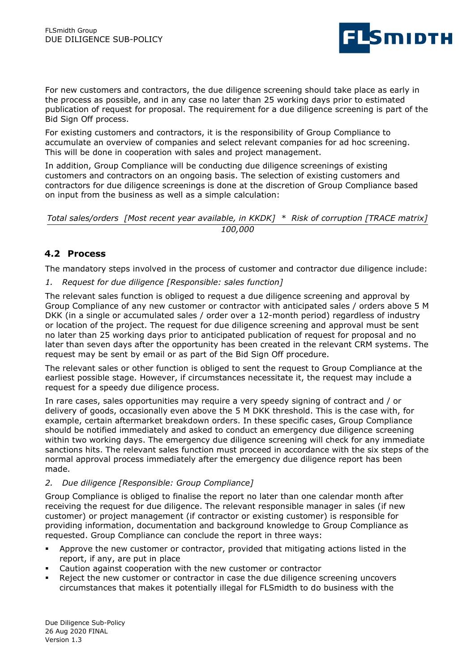

For new customers and contractors, the due diligence screening should take place as early in the process as possible, and in any case no later than 25 working days prior to estimated publication of request for proposal. The requirement for a due diligence screening is part of the Bid Sign Off process.

For existing customers and contractors, it is the responsibility of Group Compliance to accumulate an overview of companies and select relevant companies for ad hoc screening. This will be done in cooperation with sales and project management.

In addition, Group Compliance will be conducting due diligence screenings of existing customers and contractors on an ongoing basis. The selection of existing customers and contractors for due diligence screenings is done at the discretion of Group Compliance based on input from the business as well as a simple calculation:

*Total sales/orders [Most recent year available, in KKDK] \* Risk of corruption [TRACE matrix] 100,000*

#### **4.2 Process**

The mandatory steps involved in the process of customer and contractor due diligence include:

*1. Request for due diligence [Responsible: sales function]*

The relevant sales function is obliged to request a due diligence screening and approval by Group Compliance of any new customer or contractor with anticipated sales / orders above 5 M DKK (in a single or accumulated sales / order over a 12-month period) regardless of industry or location of the project. The request for due diligence screening and approval must be sent no later than 25 working days prior to anticipated publication of request for proposal and no later than seven days after the opportunity has been created in the relevant CRM systems. The request may be sent by email or as part of the Bid Sign Off procedure.

The relevant sales or other function is obliged to sent the request to Group Compliance at the earliest possible stage. However, if circumstances necessitate it, the request may include a request for a speedy due diligence process.

In rare cases, sales opportunities may require a very speedy signing of contract and / or delivery of goods, occasionally even above the 5 M DKK threshold. This is the case with, for example, certain aftermarket breakdown orders. In these specific cases, Group Compliance should be notified immediately and asked to conduct an emergency due diligence screening within two working days. The emergency due diligence screening will check for any immediate sanctions hits. The relevant sales function must proceed in accordance with the six steps of the normal approval process immediately after the emergency due diligence report has been made.

#### *2. Due diligence [Responsible: Group Compliance]*

Group Compliance is obliged to finalise the report no later than one calendar month after receiving the request for due diligence. The relevant responsible manager in sales (if new customer) or project management (if contractor or existing customer) is responsible for providing information, documentation and background knowledge to Group Compliance as requested. Group Compliance can conclude the report in three ways:

- Approve the new customer or contractor, provided that mitigating actions listed in the report, if any, are put in place
- Caution against cooperation with the new customer or contractor
- Reject the new customer or contractor in case the due diligence screening uncovers circumstances that makes it potentially illegal for FLSmidth to do business with the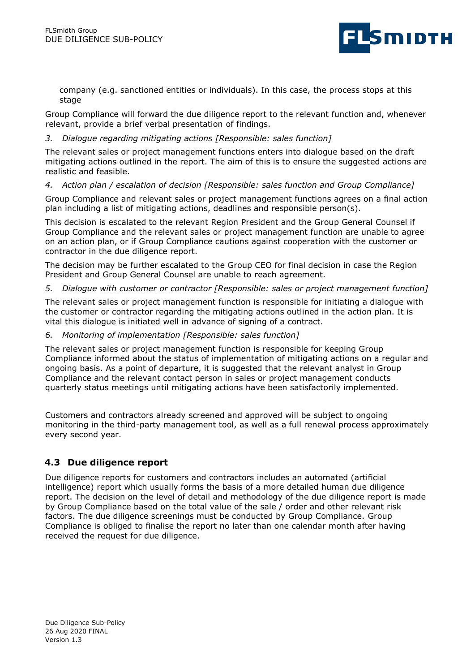

company (e.g. sanctioned entities or individuals). In this case, the process stops at this stage

Group Compliance will forward the due diligence report to the relevant function and, whenever relevant, provide a brief verbal presentation of findings.

#### *3. Dialogue regarding mitigating actions [Responsible: sales function]*

The relevant sales or project management functions enters into dialogue based on the draft mitigating actions outlined in the report. The aim of this is to ensure the suggested actions are realistic and feasible.

*4. Action plan / escalation of decision [Responsible: sales function and Group Compliance]*

Group Compliance and relevant sales or project management functions agrees on a final action plan including a list of mitigating actions, deadlines and responsible person(s).

This decision is escalated to the relevant Region President and the Group General Counsel if Group Compliance and the relevant sales or project management function are unable to agree on an action plan, or if Group Compliance cautions against cooperation with the customer or contractor in the due diligence report.

The decision may be further escalated to the Group CEO for final decision in case the Region President and Group General Counsel are unable to reach agreement.

*5. Dialogue with customer or contractor [Responsible: sales or project management function]*

The relevant sales or project management function is responsible for initiating a dialogue with the customer or contractor regarding the mitigating actions outlined in the action plan. It is vital this dialogue is initiated well in advance of signing of a contract.

*6. Monitoring of implementation [Responsible: sales function]*

The relevant sales or project management function is responsible for keeping Group Compliance informed about the status of implementation of mitigating actions on a regular and ongoing basis. As a point of departure, it is suggested that the relevant analyst in Group Compliance and the relevant contact person in sales or project management conducts quarterly status meetings until mitigating actions have been satisfactorily implemented.

Customers and contractors already screened and approved will be subject to ongoing monitoring in the third-party management tool, as well as a full renewal process approximately every second year.

#### **4.3 Due diligence report**

Due diligence reports for customers and contractors includes an automated (artificial intelligence) report which usually forms the basis of a more detailed human due diligence report. The decision on the level of detail and methodology of the due diligence report is made by Group Compliance based on the total value of the sale / order and other relevant risk factors. The due diligence screenings must be conducted by Group Compliance. Group Compliance is obliged to finalise the report no later than one calendar month after having received the request for due diligence.